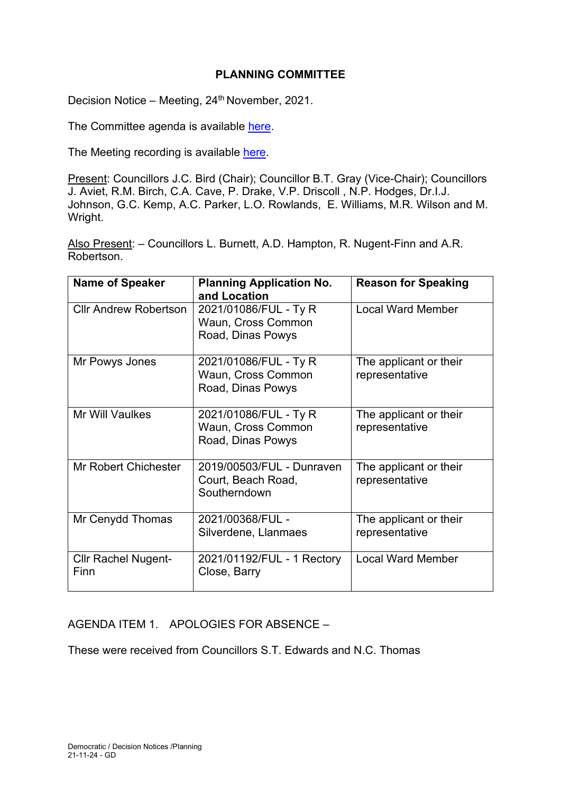# **PLANNING COMMITTEE**

Decision Notice – Meeting, 24<sup>th</sup> November, 2021.

The Committee agenda is available [here.](https://www.valeofglamorgan.gov.uk/en/our_council/Council-Structure/minutes,_agendas_and_reports/agendas/planning/2021/21-11-24.aspx)

The Meeting recording is available [here.](https://www.youtube.com/watch?v=3pUd-NCwLj0)

Present: Councillors J.C. Bird (Chair); Councillor B.T. Gray (Vice-Chair); Councillors J. Aviet, R.M. Birch, C.A. Cave, P. Drake, V.P. Driscoll , N.P. Hodges, Dr.I.J. Johnson, G.C. Kemp, A.C. Parker, L.O. Rowlands, E. Williams, M.R. Wilson and M. Wright.

Also Present: – Councillors L. Burnett, A.D. Hampton, R. Nugent-Finn and A.R. Robertson.

| <b>Name of Speaker</b>             | <b>Planning Application No.</b><br>and Location                  | <b>Reason for Speaking</b>               |
|------------------------------------|------------------------------------------------------------------|------------------------------------------|
| <b>Cllr Andrew Robertson</b>       | 2021/01086/FUL - Ty R<br>Waun, Cross Common<br>Road, Dinas Powys | <b>Local Ward Member</b>                 |
| Mr Powys Jones                     | 2021/01086/FUL - Ty R<br>Waun, Cross Common<br>Road, Dinas Powys | The applicant or their<br>representative |
| Mr Will Vaulkes                    | 2021/01086/FUL - Ty R<br>Waun, Cross Common<br>Road, Dinas Powys | The applicant or their<br>representative |
| Mr Robert Chichester               | 2019/00503/FUL - Dunraven<br>Court, Beach Road,<br>Southerndown  | The applicant or their<br>representative |
| Mr Cenydd Thomas                   | 2021/00368/FUL -<br>Silverdene, Llanmaes                         | The applicant or their<br>representative |
| <b>Cllr Rachel Nugent-</b><br>Finn | 2021/01192/FUL - 1 Rectory<br>Close, Barry                       | <b>Local Ward Member</b>                 |

AGENDA ITEM 1. APOLOGIES FOR ABSENCE –

These were received from Councillors S.T. Edwards and N.C. Thomas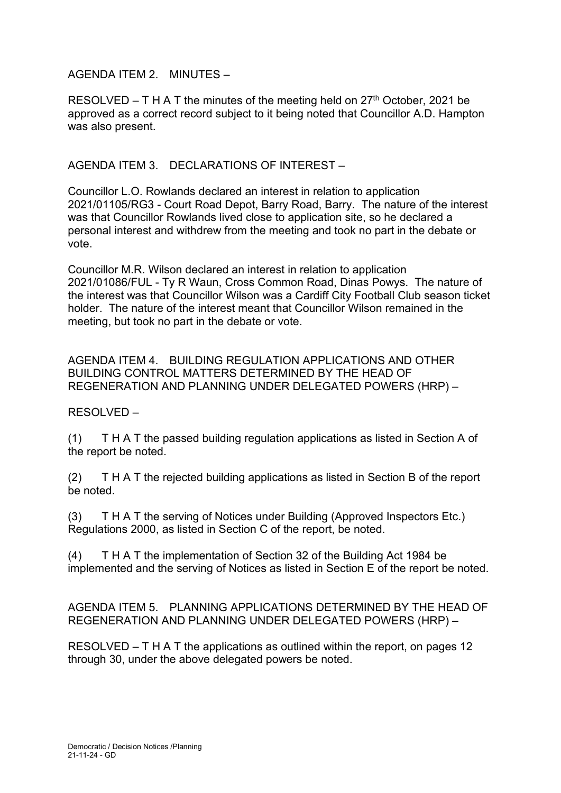AGENDA ITEM 2. MINUTES –

RESOLVED – T H A T the minutes of the meeting held on  $27<sup>th</sup>$  October, 2021 be approved as a correct record subject to it being noted that Councillor A.D. Hampton was also present.

AGENDA ITEM 3. DECLARATIONS OF INTEREST –

Councillor L.O. Rowlands declared an interest in relation to application 2021/01105/RG3 - Court Road Depot, Barry Road, Barry. The nature of the interest was that Councillor Rowlands lived close to application site, so he declared a personal interest and withdrew from the meeting and took no part in the debate or vote.

Councillor M.R. Wilson declared an interest in relation to application 2021/01086/FUL - Ty R Waun, Cross Common Road, Dinas Powys. The nature of the interest was that Councillor Wilson was a Cardiff City Football Club season ticket holder. The nature of the interest meant that Councillor Wilson remained in the meeting, but took no part in the debate or vote.

AGENDA ITEM 4. BUILDING REGULATION APPLICATIONS AND OTHER BUILDING CONTROL MATTERS DETERMINED BY THE HEAD OF REGENERATION AND PLANNING UNDER DELEGATED POWERS (HRP) –

## RESOLVED –

(1) T H A T the passed building regulation applications as listed in Section A of the report be noted.

(2) T H A T the rejected building applications as listed in Section B of the report be noted.

(3) T H A T the serving of Notices under Building (Approved Inspectors Etc.) Regulations 2000, as listed in Section C of the report, be noted.

(4) T H A T the implementation of Section 32 of the Building Act 1984 be implemented and the serving of Notices as listed in Section E of the report be noted.

AGENDA ITEM 5. PLANNING APPLICATIONS DETERMINED BY THE HEAD OF REGENERATION AND PLANNING UNDER DELEGATED POWERS (HRP) –

RESOLVED – T H A T the applications as outlined within the report, on pages 12 through 30, under the above delegated powers be noted.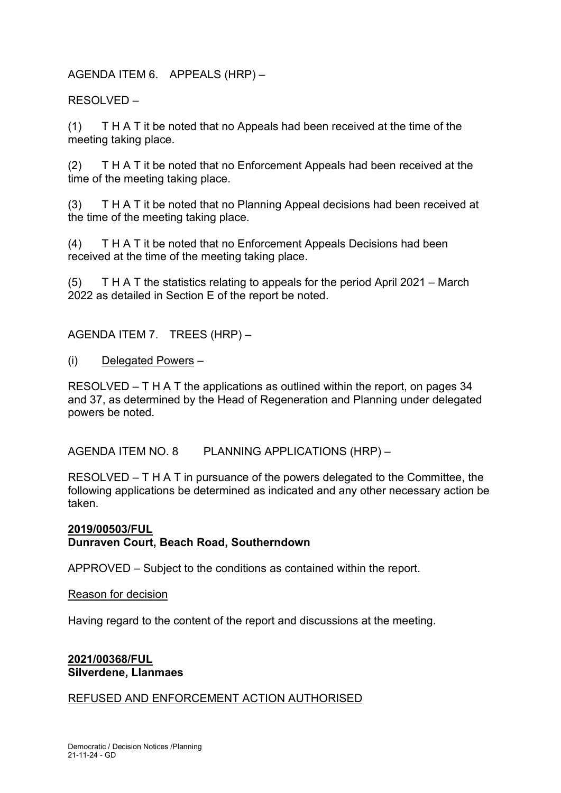## AGENDA ITEM 6. APPEALS (HRP) –

RESOLVED –

(1) T H A T it be noted that no Appeals had been received at the time of the meeting taking place.

(2) T H A T it be noted that no Enforcement Appeals had been received at the time of the meeting taking place.

(3) T H A T it be noted that no Planning Appeal decisions had been received at the time of the meeting taking place.

(4) T H A T it be noted that no Enforcement Appeals Decisions had been received at the time of the meeting taking place.

(5) T H A T the statistics relating to appeals for the period April 2021 – March 2022 as detailed in Section E of the report be noted.

AGENDA ITEM 7. TREES (HRP) –

(i) Delegated Powers –

RESOLVED – T H A T the applications as outlined within the report, on pages 34 and 37, as determined by the Head of Regeneration and Planning under delegated powers be noted.

AGENDA ITEM NO. 8 PLANNING APPLICATIONS (HRP) –

RESOLVED – T H A T in pursuance of the powers delegated to the Committee, the following applications be determined as indicated and any other necessary action be taken.

**2019/00503/FUL Dunraven Court, Beach Road, Southerndown**

APPROVED – Subject to the conditions as contained within the report.

Reason for decision

Having regard to the content of the report and discussions at the meeting.

## **2021/00368/FUL Silverdene, Llanmaes**

## REFUSED AND ENFORCEMENT ACTION AUTHORISED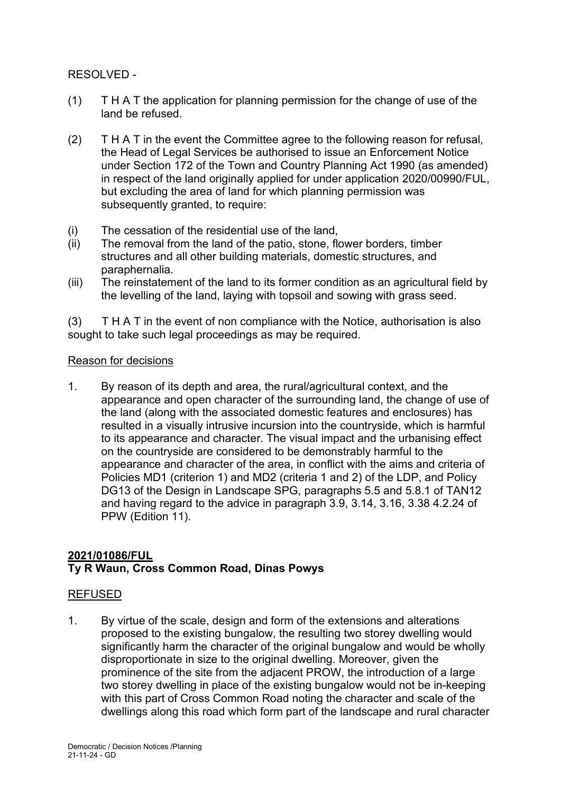RESOLVED -

- (1) T H A T the application for planning permission for the change of use of the land be refused.
- (2) T H A T in the event the Committee agree to the following reason for refusal, the Head of Legal Services be authorised to issue an Enforcement Notice under Section 172 of the Town and Country Planning Act 1990 (as amended) in respect of the land originally applied for under application 2020/00990/FUL, but excluding the area of land for which planning permission was subsequently granted, to require:
- (i) The cessation of the residential use of the land,
- (ii) The removal from the land of the patio, stone, flower borders, timber structures and all other building materials, domestic structures, and paraphernalia.
- (iii) The reinstatement of the land to its former condition as an agricultural field by the levelling of the land, laying with topsoil and sowing with grass seed.

(3) T H A T in the event of non compliance with the Notice, authorisation is also sought to take such legal proceedings as may be required.

## Reason for decisions

1. By reason of its depth and area, the rural/agricultural context, and the appearance and open character of the surrounding land, the change of use of the land (along with the associated domestic features and enclosures) has resulted in a visually intrusive incursion into the countryside, which is harmful to its appearance and character. The visual impact and the urbanising effect on the countryside are considered to be demonstrably harmful to the appearance and character of the area, in conflict with the aims and criteria of Policies MD1 (criterion 1) and MD2 (criteria 1 and 2) of the LDP, and Policy DG13 of the Design in Landscape SPG, paragraphs 5.5 and 5.8.1 of TAN12 and having regard to the advice in paragraph 3.9, 3.14, 3.16, 3.38 4.2.24 of PPW (Edition 11).

# **2021/01086/FUL Ty R Waun, Cross Common Road, Dinas Powys**

# REFUSED

1. By virtue of the scale, design and form of the extensions and alterations proposed to the existing bungalow, the resulting two storey dwelling would significantly harm the character of the original bungalow and would be wholly disproportionate in size to the original dwelling. Moreover, given the prominence of the site from the adjacent PROW, the introduction of a large two storey dwelling in place of the existing bungalow would not be in-keeping with this part of Cross Common Road noting the character and scale of the dwellings along this road which form part of the landscape and rural character